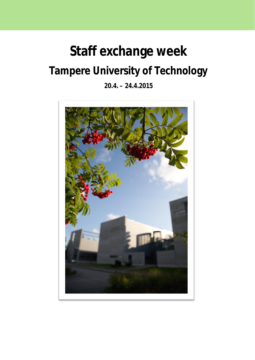## **Staff exchange week Tampere University of Technology**

**20.4. – 24.4.2015**

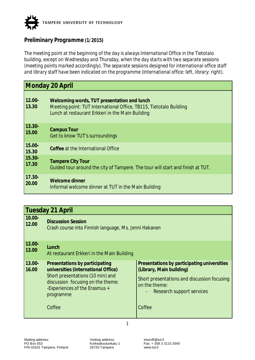

## *Preliminary Programme (1/2015)*

*The meeting point at the beginning of the day is always International Office in the Tietotalo building, except on Wednesday and Thursday, when the day starts with two separate sessions (meeting points marked accordingly). The separate sessions designed for international office staff and library staff have been indicated on the programme (International office: left, library: right).*

|                    | Monday 20 April                                                                                                                                                       |
|--------------------|-----------------------------------------------------------------------------------------------------------------------------------------------------------------------|
| $12.00 -$<br>13.30 | Welcoming words, TUT presentation and lunch<br>Meeting point: TUT International Office, TB115, Tietotalo Building<br>Lunch at restaurant Erkkeri in the Main Building |
| $13.30 -$          | <b>Campus Tour</b>                                                                                                                                                    |
| 15.00              | Get to know TUT's surroundings                                                                                                                                        |
| $15.00 -$<br>15.30 | Coffee at the International Office                                                                                                                                    |
| $15.30 -$          | <b>Tampere City Tour</b>                                                                                                                                              |
| 17.30              | Guided tour around the city of Tampere. The tour will start and finish at TUT.                                                                                        |
| $17.30 -$          | Welcome dinner                                                                                                                                                        |
| 20.00              | Informal welcome dinner at TUT in the Main Building                                                                                                                   |

| Tuesday 21 April |  |  |
|------------------|--|--|
|                  |  |  |

| 10.00-<br>12.00    | <b>Discussion Session</b><br>Crash course into Finnish language, Ms. Jenni Hakanen                                                                                                                     |                                                                                                                                                                                |
|--------------------|--------------------------------------------------------------------------------------------------------------------------------------------------------------------------------------------------------|--------------------------------------------------------------------------------------------------------------------------------------------------------------------------------|
| $12.00 -$<br>13.00 | Lunch<br>At restaurant Erkkeri in the Main Building                                                                                                                                                    |                                                                                                                                                                                |
| 13.00-<br>16.00    | Presentations by participating<br>universities (International Office)<br>Short presentations (10 min) and<br>discussion focusing on the theme:<br>-Experiences of the Erasmus +<br>programme<br>Coffee | Presentations by participating universities<br>(Library, Main building)<br>Short presentations and discussion focusing<br>on the theme:<br>Research support services<br>Coffee |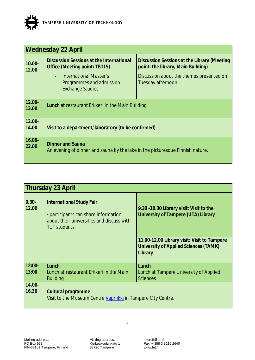

| <b>Wednesday 22 April</b> |                                                                                                                   |                                                                                   |
|---------------------------|-------------------------------------------------------------------------------------------------------------------|-----------------------------------------------------------------------------------|
| $10.00 -$<br>12.00        | Discussion Sessions at the International<br>Office (Meeting point: TB115)                                         | Discussion Sessions at the Library (Meeting<br>point: the library, Main Building) |
|                           | International Master's<br>$\blacksquare$<br>Programmes and admission<br><b>Exchange Studies</b><br>$\blacksquare$ | Discussion about the themes presented on<br>Tuesday afternoon                     |
| $12.00 -$<br>13.00        | Lunch at restaurant Erkkeri in the Main Building                                                                  |                                                                                   |
| $13.00 -$<br>14.00        | Visit to a department/laboratory (to be confirmed)                                                                |                                                                                   |
| $16.00 -$<br>22.00        | <b>Dinner and Sauna</b><br>An evening of dinner and sauna by the lake in the picturesque Finnish nature.          |                                                                                   |

| Thursday 23 April |                                                                                                                                             |                                                                                                 |
|-------------------|---------------------------------------------------------------------------------------------------------------------------------------------|-------------------------------------------------------------------------------------------------|
| $9.30 -$<br>12.00 | <b>International Study Fair</b><br>- participants can share information<br>about their universities and discuss with<br><b>TUT students</b> | 9.30 - 10.30 Library visit: Visit to the<br>University of Tampere (UTA) Library                 |
|                   |                                                                                                                                             | 11.00-12.00 Library visit: Visit to Tampere<br>University of Applied Sciences (TAMK)<br>Library |
| $12:00-$          | Lunch                                                                                                                                       | Lunch                                                                                           |
| 13:00             | Lunch at restaurant Erkkeri in the Main<br><b>Building</b>                                                                                  | Lunch at Tampere University of Applied<br><b>Sciences</b>                                       |
| 14.00-<br>16.30   | Cultural programme<br>Visit to the Museum Centre Vapriikki in Tampere City Centre.                                                          |                                                                                                 |